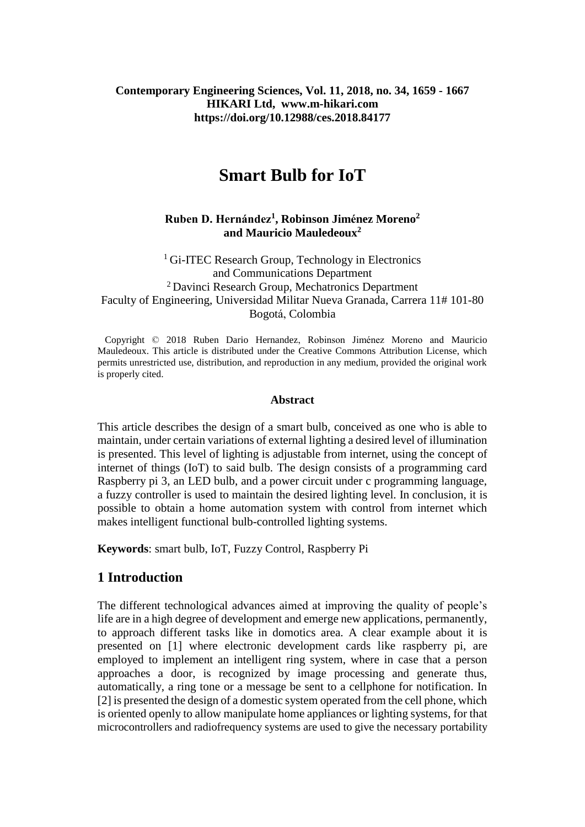#### **Contemporary Engineering Sciences, Vol. 11, 2018, no. 34, 1659 - 1667 HIKARI Ltd, www.m-hikari.com https://doi.org/10.12988/ces.2018.84177**

# **Smart Bulb for IoT**

#### **Ruben D. Hernández<sup>1</sup> , Robinson Jiménez Moreno<sup>2</sup> and Mauricio Mauledeoux<sup>2</sup>**

<sup>1</sup> Gi-ITEC Research Group, Technology in Electronics and Communications Department <sup>2</sup> Davinci Research Group, Mechatronics Department Faculty of Engineering, Universidad Militar Nueva Granada, Carrera 11# 101-80 Bogotá, Colombia

 Copyright © 2018 Ruben Dario Hernandez, Robinson Jiménez Moreno and Mauricio Mauledeoux. This article is distributed under the Creative Commons Attribution License, which permits unrestricted use, distribution, and reproduction in any medium, provided the original work is properly cited.

#### **Abstract**

This article describes the design of a smart bulb, conceived as one who is able to maintain, under certain variations of external lighting a desired level of illumination is presented. This level of lighting is adjustable from internet, using the concept of internet of things (IoT) to said bulb. The design consists of a programming card Raspberry pi 3, an LED bulb, and a power circuit under c programming language, a fuzzy controller is used to maintain the desired lighting level. In conclusion, it is possible to obtain a home automation system with control from internet which makes intelligent functional bulb-controlled lighting systems.

**Keywords**: smart bulb, IoT, Fuzzy Control, Raspberry Pi

## **1 Introduction**

The different technological advances aimed at improving the quality of people's life are in a high degree of development and emerge new applications, permanently, to approach different tasks like in domotics area. A clear example about it is presented on [1] where electronic development cards like raspberry pi, are employed to implement an intelligent ring system, where in case that a person approaches a door, is recognized by image processing and generate thus, automatically, a ring tone or a message be sent to a cellphone for notification. In [2] is presented the design of a domestic system operated from the cell phone, which is oriented openly to allow manipulate home appliances or lighting systems, for that microcontrollers and radiofrequency systems are used to give the necessary portability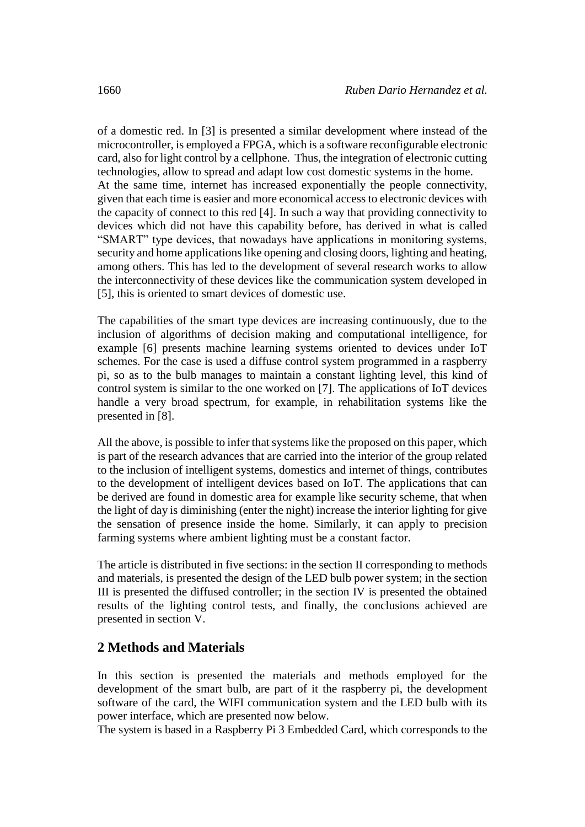of a domestic red. In [3] is presented a similar development where instead of the microcontroller, is employed a FPGA, which is a software reconfigurable electronic card, also for light control by a cellphone. Thus, the integration of electronic cutting technologies, allow to spread and adapt low cost domestic systems in the home. At the same time, internet has increased exponentially the people connectivity, given that each time is easier and more economical access to electronic devices with the capacity of connect to this red [4]. In such a way that providing connectivity to devices which did not have this capability before, has derived in what is called "SMART" type devices, that nowadays have applications in monitoring systems, security and home applications like opening and closing doors, lighting and heating, among others. This has led to the development of several research works to allow the interconnectivity of these devices like the communication system developed in [5], this is oriented to smart devices of domestic use.

The capabilities of the smart type devices are increasing continuously, due to the inclusion of algorithms of decision making and computational intelligence, for example [6] presents machine learning systems oriented to devices under IoT schemes. For the case is used a diffuse control system programmed in a raspberry pi, so as to the bulb manages to maintain a constant lighting level, this kind of control system is similar to the one worked on [7]. The applications of IoT devices handle a very broad spectrum, for example, in rehabilitation systems like the presented in [8].

All the above, is possible to infer that systems like the proposed on this paper, which is part of the research advances that are carried into the interior of the group related to the inclusion of intelligent systems, domestics and internet of things, contributes to the development of intelligent devices based on IoT. The applications that can be derived are found in domestic area for example like security scheme, that when the light of day is diminishing (enter the night) increase the interior lighting for give the sensation of presence inside the home. Similarly, it can apply to precision farming systems where ambient lighting must be a constant factor.

The article is distributed in five sections: in the section II corresponding to methods and materials, is presented the design of the LED bulb power system; in the section III is presented the diffused controller; in the section IV is presented the obtained results of the lighting control tests, and finally, the conclusions achieved are presented in section V.

## **2 Methods and Materials**

In this section is presented the materials and methods employed for the development of the smart bulb, are part of it the raspberry pi, the development software of the card, the WIFI communication system and the LED bulb with its power interface, which are presented now below.

The system is based in a Raspberry Pi 3 Embedded Card, which corresponds to the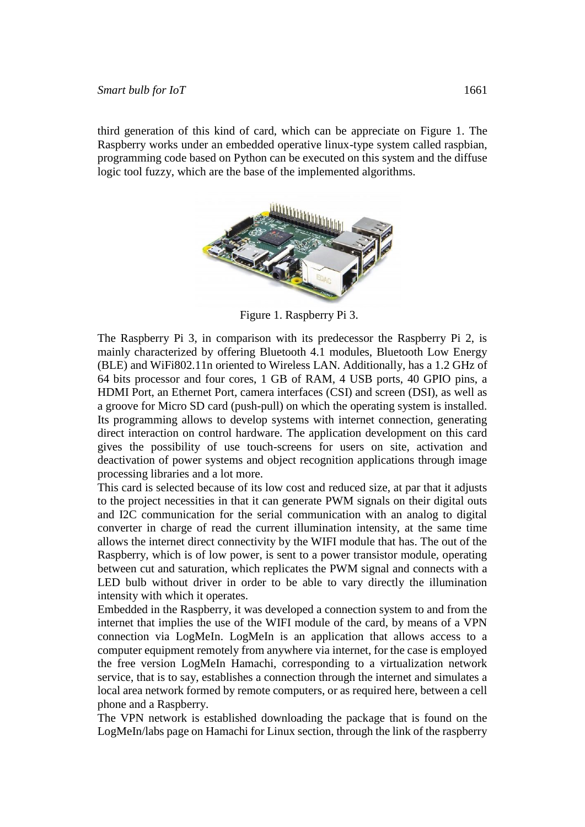third generation of this kind of card, which can be appreciate on Figure 1. The Raspberry works under an embedded operative linux-type system called raspbian, programming code based on Python can be executed on this system and the diffuse logic tool fuzzy, which are the base of the implemented algorithms.



Figure 1. Raspberry Pi 3.

The Raspberry Pi 3, in comparison with its predecessor the Raspberry Pi 2, is mainly characterized by offering Bluetooth 4.1 modules, Bluetooth Low Energy (BLE) and WiFi802.11n oriented to Wireless LAN. Additionally, has a 1.2 GHz of 64 bits processor and four cores, 1 GB of RAM, 4 USB ports, 40 GPIO pins, a HDMI Port, an Ethernet Port, camera interfaces (CSI) and screen (DSI), as well as a groove for Micro SD card (push-pull) on which the operating system is installed. Its programming allows to develop systems with internet connection, generating direct interaction on control hardware. The application development on this card gives the possibility of use touch-screens for users on site, activation and deactivation of power systems and object recognition applications through image processing libraries and a lot more.

This card is selected because of its low cost and reduced size, at par that it adjusts to the project necessities in that it can generate PWM signals on their digital outs and I2C communication for the serial communication with an analog to digital converter in charge of read the current illumination intensity, at the same time allows the internet direct connectivity by the WIFI module that has. The out of the Raspberry, which is of low power, is sent to a power transistor module, operating between cut and saturation, which replicates the PWM signal and connects with a LED bulb without driver in order to be able to vary directly the illumination intensity with which it operates.

Embedded in the Raspberry, it was developed a connection system to and from the internet that implies the use of the WIFI module of the card, by means of a VPN connection via LogMeIn. LogMeIn is an application that allows access to a computer equipment remotely from anywhere via internet, for the case is employed the free version LogMeIn Hamachi, corresponding to a virtualization network service, that is to say, establishes a connection through the internet and simulates a local area network formed by remote computers, or as required here, between a cell phone and a Raspberry.

The VPN network is established downloading the package that is found on the LogMeIn/labs page on Hamachi for Linux section, through the link of the raspberry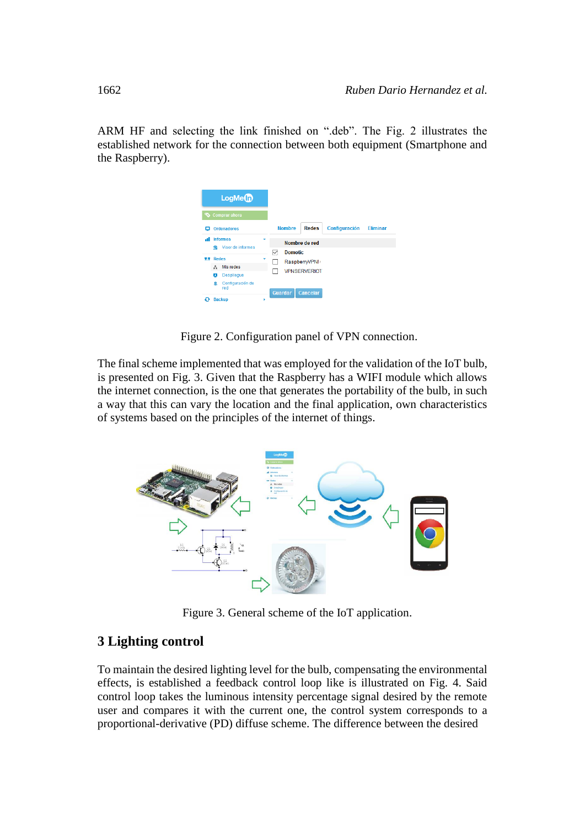ARM HF and selecting the link finished on ".deb". The Fig. 2 illustrates the established network for the connection between both equipment (Smartphone and the Raspberry).

| $LogMe$ <sup><math>\Box</math></sup>                   |                                                                   |
|--------------------------------------------------------|-------------------------------------------------------------------|
| Comprar ahora                                          |                                                                   |
| <b>Ordenadores</b>                                     | Configuración<br><b>Redes</b><br><b>Nombre</b><br><b>Eliminar</b> |
| <b>Informes</b><br>мI<br>Visor de informes<br>я        | Nombre de red<br><b>Domotic</b><br>✓                              |
| <b>Redes</b><br>77<br>Mis redes<br>A                   | ٠<br>RaspberryVPNI <sup>+</sup>                                   |
| <b>Desplieque</b><br>ø<br>Configuración de<br>ഉ<br>red | <b>VPNSERVERIOT</b>                                               |
| <b>Rackup</b>                                          | Guardar<br>Cancelar<br>٠                                          |

Figure 2. Configuration panel of VPN connection.

The final scheme implemented that was employed for the validation of the IoT bulb, is presented on Fig. 3. Given that the Raspberry has a WIFI module which allows the internet connection, is the one that generates the portability of the bulb, in such a way that this can vary the location and the final application, own characteristics of systems based on the principles of the internet of things.



Figure 3. General scheme of the IoT application.

## **3 Lighting control**

To maintain the desired lighting level for the bulb, compensating the environmental effects, is established a feedback control loop like is illustrated on Fig. 4. Said control loop takes the luminous intensity percentage signal desired by the remote user and compares it with the current one, the control system corresponds to a proportional-derivative (PD) diffuse scheme. The difference between the desired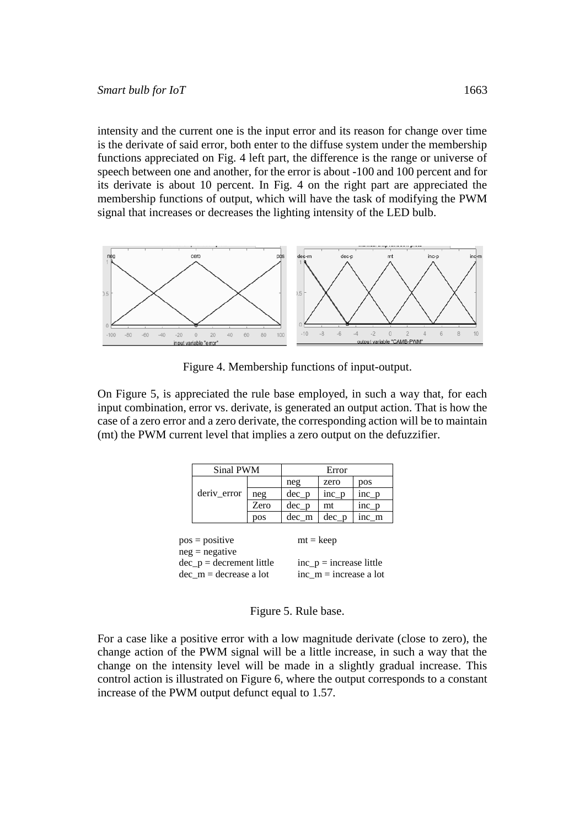intensity and the current one is the input error and its reason for change over time is the derivate of said error, both enter to the diffuse system under the membership functions appreciated on Fig. 4 left part, the difference is the range or universe of speech between one and another, for the error is about -100 and 100 percent and for its derivate is about 10 percent. In Fig. 4 on the right part are appreciated the membership functions of output, which will have the task of modifying the PWM signal that increases or decreases the lighting intensity of the LED bulb.



Figure 4. Membership functions of input-output.

On Figure 5, is appreciated the rule base employed, in such a way that, for each input combination, error vs. derivate, is generated an output action. That is how the case of a zero error and a zero derivate, the corresponding action will be to maintain (mt) the PWM current level that implies a zero output on the defuzzifier.

|                            | Sinal PWM        |             | Error                     |         |         |  |  |  |  |
|----------------------------|------------------|-------------|---------------------------|---------|---------|--|--|--|--|
|                            |                  |             | neg                       | zero    | pos     |  |  |  |  |
|                            | deriv_error      | neg         | $dec_p$                   | $inc_p$ | $inc_p$ |  |  |  |  |
|                            |                  | Zero        | $dec_p$                   | mt      | $inc_p$ |  |  |  |  |
|                            |                  | pos         | $dec_{m}$                 | $dec_p$ | inc_m   |  |  |  |  |
|                            |                  |             |                           |         |         |  |  |  |  |
|                            | $pos = positive$ | $mt = keep$ |                           |         |         |  |  |  |  |
| $neg = negative$           |                  |             |                           |         |         |  |  |  |  |
| $dec_p = decrement$ little |                  |             | $inc_p = increase$ little |         |         |  |  |  |  |
| $dec_{m} = decrease$ a lot |                  |             | $inc_m = increase$ a lot  |         |         |  |  |  |  |

Figure 5. Rule base.

For a case like a positive error with a low magnitude derivate (close to zero), the change action of the PWM signal will be a little increase, in such a way that the change on the intensity level will be made in a slightly gradual increase. This control action is illustrated on Figure 6, where the output corresponds to a constant increase of the PWM output defunct equal to 1.57.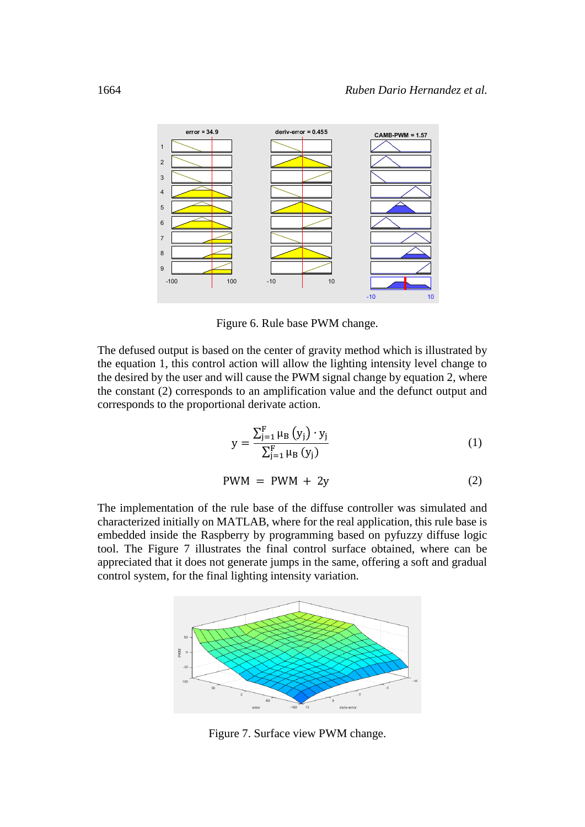

Figure 6. Rule base PWM change.

The defused output is based on the center of gravity method which is illustrated by the equation 1, this control action will allow the lighting intensity level change to the desired by the user and will cause the PWM signal change by equation 2, where the constant (2) corresponds to an amplification value and the defunct output and corresponds to the proportional derivate action.

$$
y = \frac{\sum_{j=1}^{F} \mu_B (y_j) \cdot y_j}{\sum_{j=1}^{F} \mu_B (y_j)}
$$
(1)

$$
PWM = PWM + 2y \tag{2}
$$

The implementation of the rule base of the diffuse controller was simulated and characterized initially on MATLAB, where for the real application, this rule base is embedded inside the Raspberry by programming based on pyfuzzy diffuse logic tool. The Figure 7 illustrates the final control surface obtained, where can be appreciated that it does not generate jumps in the same, offering a soft and gradual control system, for the final lighting intensity variation.



Figure 7. Surface view PWM change.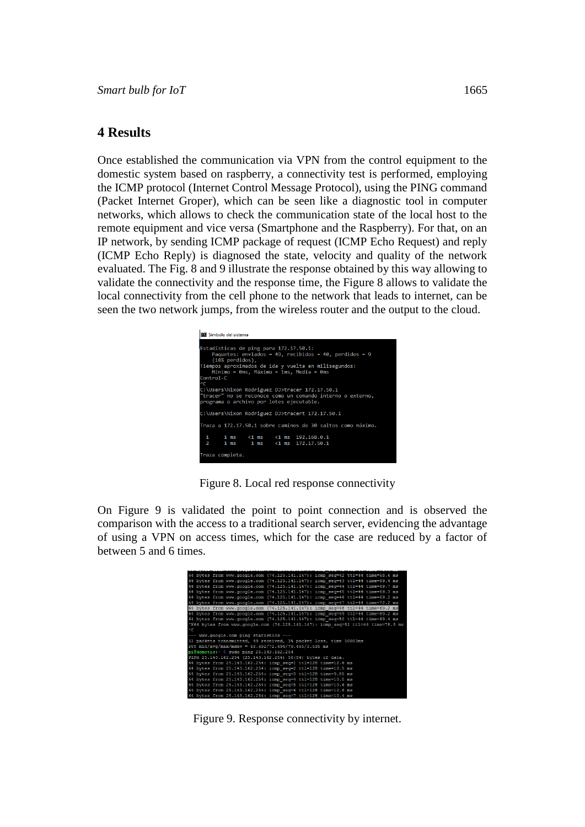#### **4 Results**

Once established the communication via VPN from the control equipment to the domestic system based on raspberry, a connectivity test is performed, employing the ICMP protocol (Internet Control Message Protocol), using the PING command (Packet Internet Groper), which can be seen like a diagnostic tool in computer networks, which allows to check the communication state of the local host to the remote equipment and vice versa (Smartphone and the Raspberry). For that, on an IP network, by sending ICMP package of request (ICMP Echo Request) and reply (ICMP Echo Reply) is diagnosed the state, velocity and quality of the network evaluated. The Fig. 8 and 9 illustrate the response obtained by this way allowing to validate the connectivity and the response time, the Figure 8 allows to validate the local connectivity from the cell phone to the network that leads to internet, can be seen the two network jumps, from the wireless router and the output to the cloud.



Figure 8. Local red response connectivity

On Figure 9 is validated the point to point connection and is observed the comparison with the access to a traditional search server, evidencing the advantage of using a VPN on access times, which for the case are reduced by a factor of between 5 and 6 times.

|                                                                                  |  |  | 64 bytes from www.google.com (74.125.141.147): icmp seq=42 ttl=44 time=68.6 ms |  |  |  |  |  |  |
|----------------------------------------------------------------------------------|--|--|--------------------------------------------------------------------------------|--|--|--|--|--|--|
|                                                                                  |  |  | 64 bytes from www.google.com (74.125.141.147): icmp seq=43 ttl=44 time=69.4 ms |  |  |  |  |  |  |
|                                                                                  |  |  | 64 bytes from www.google.com (74.125.141.147): icmp seq=44 ttl=44 time=69.7 ms |  |  |  |  |  |  |
|                                                                                  |  |  | 64 bytes from www.google.com (74.125.141.147): icmp seq=45 ttl=44 time=69.3 ms |  |  |  |  |  |  |
|                                                                                  |  |  | 64 bytes from www.google.com (74.125.141.147): icmp seq=46 ttl=44 time=69.2 ms |  |  |  |  |  |  |
|                                                                                  |  |  | 64 bytes from www.google.com (74.125.141.147): icmp seq=47 ttl=44 time=72.2 ms |  |  |  |  |  |  |
|                                                                                  |  |  |                                                                                |  |  |  |  |  |  |
|                                                                                  |  |  | 64 bytes from www.google.com (74.125.141.147): icmp seq=48 ttl=44 time=69.2 ms |  |  |  |  |  |  |
|                                                                                  |  |  | 64 bytes from www.google.com (74.125.141.147): icmp seq=49 ttl=44 time=69.2 ms |  |  |  |  |  |  |
|                                                                                  |  |  | 64 bytes from www.google.com (74.125.141.147): icmp seq=50 ttl=44 time=69.4 ms |  |  |  |  |  |  |
| ^X64 bytes from www.google.com (74.125.141.147): icmp seq=51 ttl=44 time=78.3 ms |  |  |                                                                                |  |  |  |  |  |  |
| $^{\circ}$ C                                                                     |  |  |                                                                                |  |  |  |  |  |  |
| --- www.google.com ping statistics ---                                           |  |  |                                                                                |  |  |  |  |  |  |
| 51 packets transmitted, 49 received, 3% packet loss, time 50083ms                |  |  |                                                                                |  |  |  |  |  |  |
| rtt min/avq/max/mdev = $68.692/72.494/79.465/3.535$ ms                           |  |  |                                                                                |  |  |  |  |  |  |
| pi@domotic:~ \$ sudo ping 25.143.162.254                                         |  |  |                                                                                |  |  |  |  |  |  |
| PING 25.143.162.254 (25.143.162.254) 56(84) bytes of data.                       |  |  |                                                                                |  |  |  |  |  |  |
|                                                                                  |  |  | 64 bytes from 25.143.162.254: icmp seq=1 ttl=128 time=12.6 ms                  |  |  |  |  |  |  |
|                                                                                  |  |  | 64 bytes from 25.143.162.254: icmp seq=2 ttl=128 time=10.5 ms                  |  |  |  |  |  |  |
|                                                                                  |  |  | 64 bytes from 25.143.162.254: icmp seq=3 ttl=128 time=9.85 ms                  |  |  |  |  |  |  |
|                                                                                  |  |  | 64 bytes from 25.143.162.254: icmp seq=4 ttl=128 time=10.5 ms                  |  |  |  |  |  |  |
|                                                                                  |  |  | 64 bytes from 25.143.162.254: icmp seq=5 ttl=128 time=10.6 ms                  |  |  |  |  |  |  |
|                                                                                  |  |  | 64 bytes from 25.143.162.254: icmp seq=6 ttl=128 time=10.8 ms                  |  |  |  |  |  |  |
|                                                                                  |  |  |                                                                                |  |  |  |  |  |  |
|                                                                                  |  |  | 64 bytes from 25.143.162.254: icmp seq=7 ttl=128 time=10.4 ms                  |  |  |  |  |  |  |

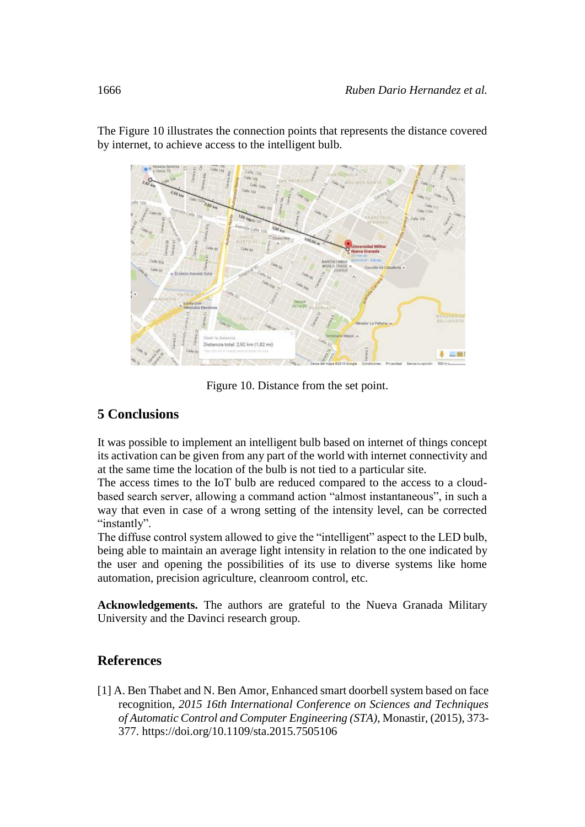

The Figure 10 illustrates the connection points that represents the distance covered by internet, to achieve access to the intelligent bulb.

Figure 10. Distance from the set point.

# **5 Conclusions**

It was possible to implement an intelligent bulb based on internet of things concept its activation can be given from any part of the world with internet connectivity and at the same time the location of the bulb is not tied to a particular site.

The access times to the IoT bulb are reduced compared to the access to a cloudbased search server, allowing a command action "almost instantaneous", in such a way that even in case of a wrong setting of the intensity level, can be corrected "instantly".

The diffuse control system allowed to give the "intelligent" aspect to the LED bulb, being able to maintain an average light intensity in relation to the one indicated by the user and opening the possibilities of its use to diverse systems like home automation, precision agriculture, cleanroom control, etc.

**Acknowledgements.** The authors are grateful to the Nueva Granada Military University and the Davinci research group.

## **References**

[1] A. Ben Thabet and N. Ben Amor, Enhanced smart doorbell system based on face recognition, *2015 16th International Conference on Sciences and Techniques of Automatic Control and Computer Engineering (STA)*, Monastir, (2015), 373- 377. <https://doi.org/10.1109/sta.2015.7505106>